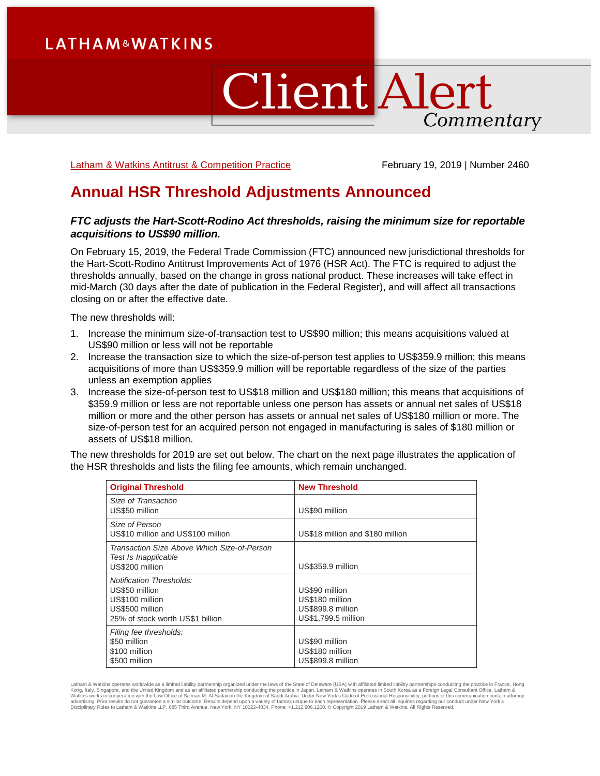# **LATHAM&WATKINS**

# **Client Alert** Commentary

[Latham & Watkins Antitrust & Competition Practice](https://www.lw.com/practices/AntitrustAndCompetition) February 19, 2019 | Number 2460

# **Annual HSR Threshold Adjustments Announced**

# *FTC adjusts the Hart-Scott-Rodino Act thresholds, raising the minimum size for reportable acquisitions to US\$90 million.*

On February 15, 2019, the Federal Trade Commission (FTC) announced new jurisdictional thresholds for the Hart-Scott-Rodino Antitrust Improvements Act of 1976 (HSR Act). The FTC is required to adjust the thresholds annually, based on the change in gross national product. These increases will take effect in mid-March (30 days after the date of publication in the Federal Register), and will affect all transactions closing on or after the effective date.

The new thresholds will:

- 1. Increase the minimum size-of-transaction test to US\$90 million; this means acquisitions valued at US\$90 million or less will not be reportable
- 2. Increase the transaction size to which the size-of-person test applies to US\$359.9 million; this means acquisitions of more than US\$359.9 million will be reportable regardless of the size of the parties unless an exemption applies
- 3. Increase the size-of-person test to US\$18 million and US\$180 million; this means that acquisitions of \$359.9 million or less are not reportable unless one person has assets or annual net sales of US\$18 million or more and the other person has assets or annual net sales of US\$180 million or more. The size-of-person test for an acquired person not engaged in manufacturing is sales of \$180 million or assets of US\$18 million.

The new thresholds for 2019 are set out below. The chart on the next page illustrates the application of the HSR thresholds and lists the filing fee amounts, which remain unchanged.

| <b>Original Threshold</b>                                                                                                   | <b>New Threshold</b>                                                          |
|-----------------------------------------------------------------------------------------------------------------------------|-------------------------------------------------------------------------------|
| Size of Transaction<br>US\$50 million                                                                                       | US\$90 million                                                                |
| Size of Person<br>US\$10 million and US\$100 million                                                                        | US\$18 million and \$180 million                                              |
| Transaction Size Above Which Size-of-Person<br>Test Is Inapplicable<br>US\$200 million                                      | US\$359.9 million                                                             |
| <b>Notification Thresholds:</b><br>US\$50 million<br>US\$100 million<br>US\$500 million<br>25% of stock worth US\$1 billion | US\$90 million<br>US\$180 million<br>US\$899.8 million<br>US\$1,799.5 million |
| Filing fee thresholds:<br>\$50 million<br>\$100 million<br>\$500 million                                                    | US\$90 million<br>US\$180 million<br>US\$899.8 million                        |

Latham & Watkins operates worldwide as a limited liability partnership organized under the laws of the State of Delaware (USA) with affiliated limited liability partnerships conducting the practice in France, Hong<br>Kong, It Disciplinary Rules to Latham & Watkins LLP, 885 Third Avenue, New York, NY 10022-4834, Phone: +1.212.906.1200. © Copyright 2019 Latham & Watkins. All Rights Reserved.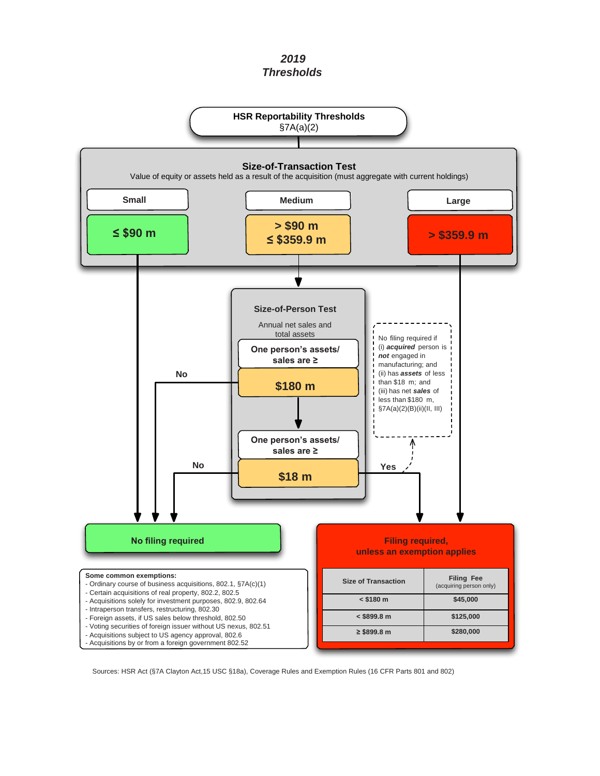*2019 Thresholds*



Sources: HSR Act (§7A Clayton Act,15 USC §18a), Coverage Rules and Exemption Rules (16 CFR Parts 801 and 802)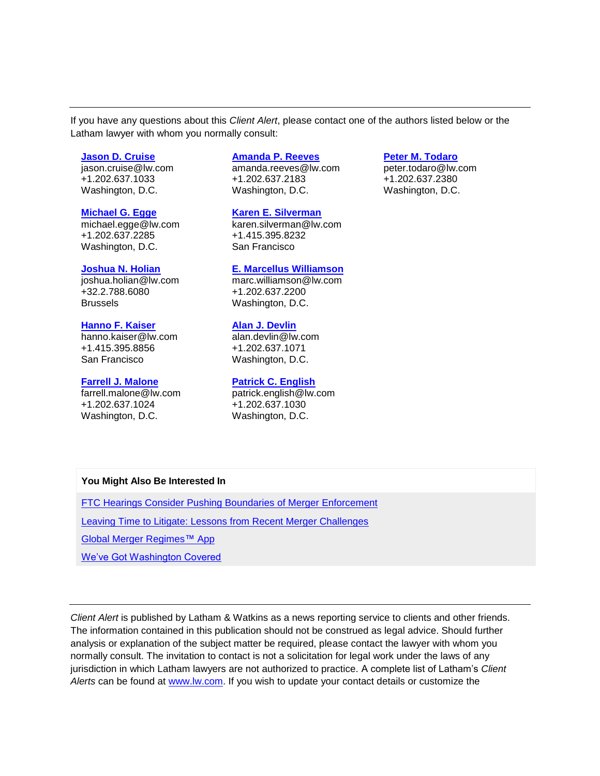If you have any questions about this *Client Alert*, please contact one of the authors listed below or the Latham lawyer with whom you normally consult:

#### **[Jason D. Cruise](https://www.lw.com/people/jason-cruise)**

jason.cruise@lw.com +1.202.637.1033 Washington, D.C.

#### **[Michael G. Egge](https://www.lw.com/people/michael-egge)**

michael.egge@lw.com +1.202.637.2285 Washington, D.C.

#### **[Joshua N. Holian](https://www.lw.com/people/joshua-holian)**

joshua.holian@lw.com +32.2.788.6080 Brussels

## **[Hanno F. Kaiser](https://www.lw.com/people/hanno-kaiser)**

hanno.kaiser@lw.com +1.415.395.8856 San Francisco

#### **[Farrell J. Malone](https://www.lw.com/people/farrell-malone)**

farrell.malone@lw.com +1.202.637.1024 Washington, D.C.

# **[Amanda P. Reeves](https://www.lw.com/people/amanda-reeves)**

amanda.reeves@lw.com +1.202.637.2183 Washington, D.C.

**[Karen E. Silverman](https://www.lw.com/people/karen-silverman)** karen.silverman@lw.com +1.415.395.8232 San Francisco

#### **[E. Marcellus Williamson](https://www.lw.com/people/marc-williamson)**

marc.williamson@lw.com +1.202.637.2200 Washington, D.C.

## **[Alan J. Devlin](https://www.lw.com/people/alan-devlin)**

alan.devlin@lw.com +1.202.637.1071 Washington, D.C.

#### **[Patrick C. English](https://www.lw.com/people/patrick-english)**

patrick.english@lw.com +1.202.637.1030 Washington, D.C.

# **You Might Also Be Interested In**

[FTC Hearings Consider Pushing Boundaries of Merger Enforcement](https://www.lw.com/thoughtLeadership/lw-ftc-hearings-consider-pushing-merger-enforcement-boundaries)

[Leaving Time to Litigate: Lessons from Recent Merger Challenges](https://www.lw.com/thoughtLeadership/leaving-time-litigate-merger-challenges)

[Global Merger Regimes™](https://www.lw.com/bookofjargon-apps/global-merger-regimes) App

[We've Got Washington Covered](https://www.lw.com/practices/wevegotwashingtoncovered)

*Client Alert* is published by Latham & Watkins as a news reporting service to clients and other friends. The information contained in this publication should not be construed as legal advice. Should further analysis or explanation of the subject matter be required, please contact the lawyer with whom you normally consult. The invitation to contact is not a solicitation for legal work under the laws of any jurisdiction in which Latham lawyers are not authorized to practice. A complete list of Latham's *Client Alerts* can be found at [www.lw.com.](http://www.lw.com/) If you wish to update your contact details or customize the

## **[Peter M. Todaro](https://www.lw.com/people/peter-todaro)**

peter.todaro@lw.com +1.202.637.2380 Washington, D.C.